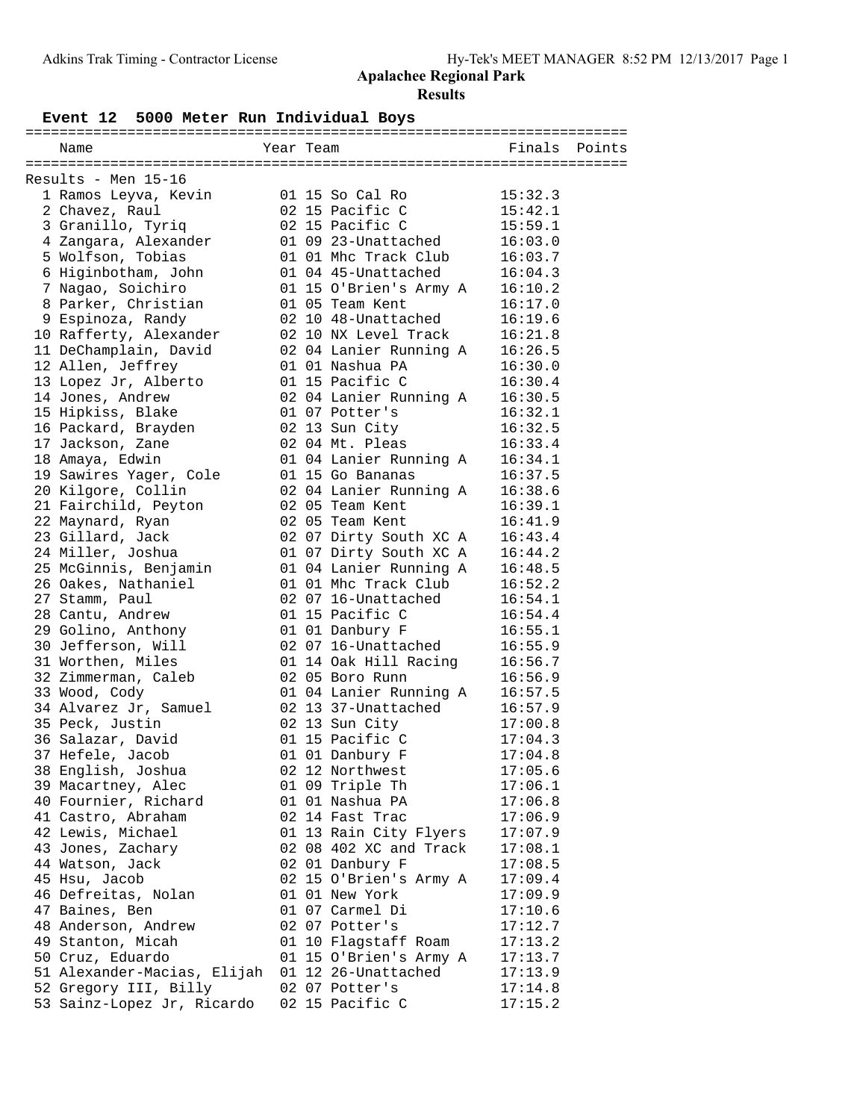# **Event 12 5000 Meter Run Individual Boys**

| Name                        | Year Team |                        | Finals  | Points |
|-----------------------------|-----------|------------------------|---------|--------|
|                             |           |                        |         |        |
| Results - Men 15-16         |           |                        |         |        |
| 1 Ramos Leyva, Kevin        |           | 01 15 So Cal Ro        | 15:32.3 |        |
| 2 Chavez, Raul              |           | 02 15 Pacific C        | 15:42.1 |        |
| 3 Granillo, Tyriq           |           | 02 15 Pacific C        | 15:59.1 |        |
| 4 Zangara, Alexander        |           | 01 09 23-Unattached    | 16:03.0 |        |
| 5 Wolfson, Tobias           |           | 01 01 Mhc Track Club   | 16:03.7 |        |
| 6 Higinbotham, John         |           | 01 04 45-Unattached    | 16:04.3 |        |
| 7 Nagao, Soichiro           |           | 01 15 O'Brien's Army A | 16:10.2 |        |
| 8 Parker, Christian         |           | 01 05 Team Kent        | 16:17.0 |        |
| 9 Espinoza, Randy           |           | 02 10 48-Unattached    | 16:19.6 |        |
| 10 Rafferty, Alexander      |           | 02 10 NX Level Track   | 16:21.8 |        |
| 11 DeChamplain, David       |           | 02 04 Lanier Running A | 16:26.5 |        |
| 12 Allen, Jeffrey           |           | 01 01 Nashua PA        | 16:30.0 |        |
| 13 Lopez Jr, Alberto        |           | 01 15 Pacific C        | 16:30.4 |        |
| 14 Jones, Andrew            |           | 02 04 Lanier Running A | 16:30.5 |        |
| 15 Hipkiss, Blake           |           | 01 07 Potter's         | 16:32.1 |        |
| 16 Packard, Brayden         |           | 02 13 Sun City         | 16:32.5 |        |
| 17 Jackson, Zane            |           | 02 04 Mt. Pleas        | 16:33.4 |        |
| 18 Amaya, Edwin             |           | 01 04 Lanier Running A | 16:34.1 |        |
| 19 Sawires Yager, Cole      |           | 01 15 Go Bananas       | 16:37.5 |        |
| 20 Kilgore, Collin          |           | 02 04 Lanier Running A | 16:38.6 |        |
| 21 Fairchild, Peyton        |           | 02 05 Team Kent        | 16:39.1 |        |
| 22 Maynard, Ryan            |           | 02 05 Team Kent        | 16:41.9 |        |
|                             |           | 02 07 Dirty South XC A | 16:43.4 |        |
| 23 Gillard, Jack            |           |                        |         |        |
| 24 Miller, Joshua           |           | 01 07 Dirty South XC A | 16:44.2 |        |
| 25 McGinnis, Benjamin       |           | 01 04 Lanier Running A | 16:48.5 |        |
| 26 Oakes, Nathaniel         |           | 01 01 Mhc Track Club   | 16:52.2 |        |
| 27 Stamm, Paul              |           | 02 07 16-Unattached    | 16:54.1 |        |
| 28 Cantu, Andrew            |           | 01 15 Pacific C        | 16:54.4 |        |
| 29 Golino, Anthony          |           | 01 01 Danbury F        | 16:55.1 |        |
| 30 Jefferson, Will          |           | 02 07 16-Unattached    | 16:55.9 |        |
| 31 Worthen, Miles           |           | 01 14 Oak Hill Racing  | 16:56.7 |        |
| 32 Zimmerman, Caleb         |           | 02 05 Boro Runn        | 16:56.9 |        |
| 33 Wood, Cody               |           | 01 04 Lanier Running A | 16:57.5 |        |
| 34 Alvarez Jr, Samuel       |           | 02 13 37-Unattached    | 16:57.9 |        |
| 35 Peck, Justin             |           | 02 13 Sun City         | 17:00.8 |        |
| 36 Salazar, David           |           | 01 15 Pacific C        | 17:04.3 |        |
| 37 Hefele, Jacob            |           | 01 01 Danbury F        | 17:04.8 |        |
| 38 English, Joshua          |           | 02 12 Northwest        | 17:05.6 |        |
| 39 Macartney, Alec          |           | 01 09 Triple Th        | 17:06.1 |        |
| 40 Fournier, Richard        |           | 01 01 Nashua PA        | 17:06.8 |        |
| 41 Castro, Abraham          |           | 02 14 Fast Trac        | 17:06.9 |        |
| 42 Lewis, Michael           |           | 01 13 Rain City Flyers | 17:07.9 |        |
| 43 Jones, Zachary           |           | 02 08 402 XC and Track | 17:08.1 |        |
| 44 Watson, Jack             |           | 02 01 Danbury F        | 17:08.5 |        |
| 45 Hsu, Jacob               |           | 02 15 O'Brien's Army A | 17:09.4 |        |
| 46 Defreitas, Nolan         |           | 01 01 New York         | 17:09.9 |        |
| 47 Baines, Ben              |           | 01 07 Carmel Di        | 17:10.6 |        |
| 48 Anderson, Andrew         |           | 02 07 Potter's         | 17:12.7 |        |
| 49 Stanton, Micah           |           | 01 10 Flagstaff Roam   | 17:13.2 |        |
| 50 Cruz, Eduardo            |           | 01 15 O'Brien's Army A | 17:13.7 |        |
| 51 Alexander-Macias, Elijah |           | 01 12 26-Unattached    | 17:13.9 |        |
| 52 Gregory III, Billy       |           | 02 07 Potter's         | 17:14.8 |        |
| 53 Sainz-Lopez Jr, Ricardo  |           | 02 15 Pacific C        | 17:15.2 |        |
|                             |           |                        |         |        |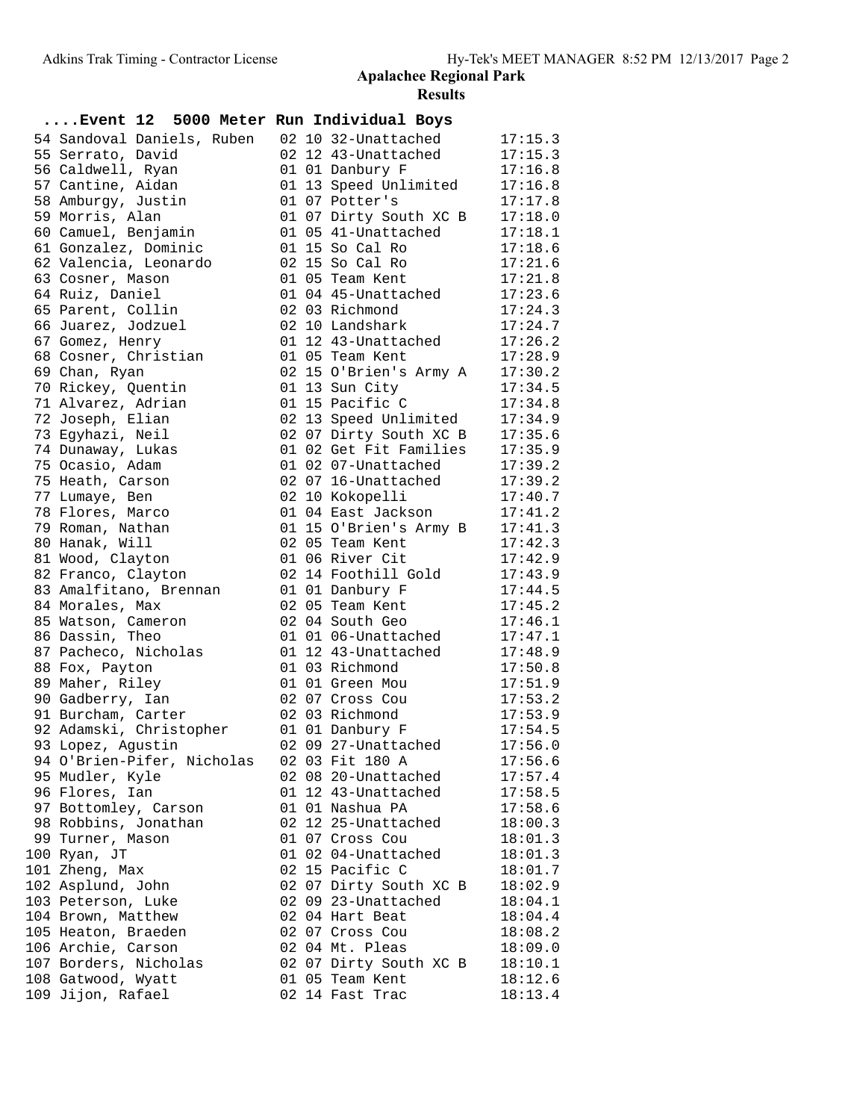| Event 12 5000 Meter Run Individual Boys |  |                                          |                    |
|-----------------------------------------|--|------------------------------------------|--------------------|
| 54 Sandoval Daniels, Ruben              |  | 02 10 32-Unattached                      | 17:15.3            |
| 55 Serrato, David                       |  | 02 12 43-Unattached                      | 17:15.3            |
| 56 Caldwell, Ryan                       |  | 01 01 Danbury F                          | 17:16.8            |
| 57 Cantine, Aidan                       |  | 01 13 Speed Unlimited                    | 17:16.8            |
| 58 Amburgy, Justin                      |  | 01 07 Potter's                           | 17:17.8            |
| 59 Morris, Alan                         |  | 01 07 Dirty South XC B                   | 17:18.0            |
| 60 Camuel, Benjamin                     |  | 01 05 41-Unattached                      | 17:18.1            |
| 61 Gonzalez, Dominic                    |  | 01 15 So Cal Ro                          | 17:18.6            |
| 62 Valencia, Leonardo                   |  | 02 15 So Cal Ro                          | 17:21.6            |
| 63 Cosner, Mason                        |  | 01 05 Team Kent                          | 17:21.8            |
| 64 Ruiz, Daniel                         |  | 01 04 45-Unattached                      | 17:23.6            |
| 65 Parent, Collin                       |  | 02 03 Richmond                           | 17:24.3            |
| 66 Juarez, Jodzuel                      |  | 02 10 Landshark                          | 17:24.7            |
| 67 Gomez, Henry                         |  | 01 12 43-Unattached                      | 17:26.2            |
| 68 Cosner, Christian                    |  | 01 05 Team Kent                          | 17:28.9            |
| 69 Chan, Ryan<br>70 Rickey, Quentin     |  | 02 15 O'Brien's Army A<br>01 13 Sun City | 17:30.2<br>17:34.5 |
| 71 Alvarez, Adrian                      |  | 01 15 Pacific C                          | 17:34.8            |
| 72 Joseph, Elian                        |  | 02 13 Speed Unlimited                    | 17:34.9            |
| 73 Egyhazi, Neil                        |  | 02 07 Dirty South XC B                   | 17:35.6            |
| 74 Dunaway, Lukas                       |  | 01 02 Get Fit Families                   | 17:35.9            |
| 75 Ocasio, Adam                         |  | 01 02 07-Unattached                      | 17:39.2            |
| 75 Heath, Carson                        |  | 02 07 16-Unattached                      | 17:39.2            |
| 77 Lumaye, Ben                          |  | 02 10 Kokopelli                          | 17:40.7            |
| 78 Flores, Marco                        |  | 01 04 East Jackson                       | 17:41.2            |
| 79 Roman, Nathan                        |  | 01 15 O'Brien's Army B                   | 17:41.3            |
| 80 Hanak, Will                          |  | 02 05 Team Kent                          | 17:42.3            |
| 81 Wood, Clayton                        |  | 01 06 River Cit                          | 17:42.9            |
| 82 Franco, Clayton                      |  | 02 14 Foothill Gold                      | 17:43.9            |
| 83 Amalfitano, Brennan                  |  | 01 01 Danbury F                          | 17:44.5            |
| 84 Morales, Max                         |  | 02 05 Team Kent                          | 17:45.2            |
| 85 Watson, Cameron                      |  | 02 04 South Geo                          | 17:46.1            |
| 86 Dassin, Theo                         |  | 01 01 06-Unattached                      | 17:47.1            |
| 87 Pacheco, Nicholas                    |  | 01 12 43-Unattached                      | 17:48.9            |
| 88 Fox, Payton                          |  | 01 03 Richmond                           | 17:50.8            |
| 89 Maher, Riley                         |  | 01 01 Green Mou                          | 17:51.9            |
| 90 Gadberry, Ian                        |  | 02 07 Cross Cou                          | 17:53.2            |
| 91 Burcham, Carter                      |  | 02 03 Richmond                           | 17:53.9            |
| 92 Adamski, Christopher                 |  | 01 01 Danbury F                          | 17:54.5            |
| 93 Lopez, Agustin                       |  | 02 09 27-Unattached                      | 17:56.0            |
| 94 O'Brien-Pifer, Nicholas              |  | 02 03 Fit 180 A                          | 17:56.6            |
| 95 Mudler, Kyle                         |  | 02 08 20-Unattached                      | 17:57.4            |
| 96 Flores, Ian<br>97 Bottomley, Carson  |  | 01 12 43-Unattached<br>01 01 Nashua PA   | 17:58.5<br>17:58.6 |
| 98 Robbins, Jonathan                    |  | 02 12 25-Unattached                      |                    |
| 99 Turner, Mason                        |  | 01 07 Cross Cou                          | 18:00.3<br>18:01.3 |
| 100 Ryan, JT                            |  | 01 02 04-Unattached                      | 18:01.3            |
| 101 Zheng, Max                          |  | 02 15 Pacific C                          | 18:01.7            |
| 102 Asplund, John                       |  | 02 07 Dirty South XC B                   | 18:02.9            |
| 103 Peterson, Luke                      |  | 02 09 23-Unattached                      | 18:04.1            |
| 104 Brown, Matthew                      |  | 02 04 Hart Beat                          | 18:04.4            |
| 105 Heaton, Braeden                     |  | 02 07 Cross Cou                          | 18:08.2            |
| 106 Archie, Carson                      |  | 02 04 Mt. Pleas                          | 18:09.0            |
| 107 Borders, Nicholas                   |  | 02 07 Dirty South XC B                   | 18:10.1            |
| 108 Gatwood, Wyatt                      |  | 01 05 Team Kent                          | 18:12.6            |
| 109 Jijon, Rafael                       |  | 02 14 Fast Trac                          | 18:13.4            |
|                                         |  |                                          |                    |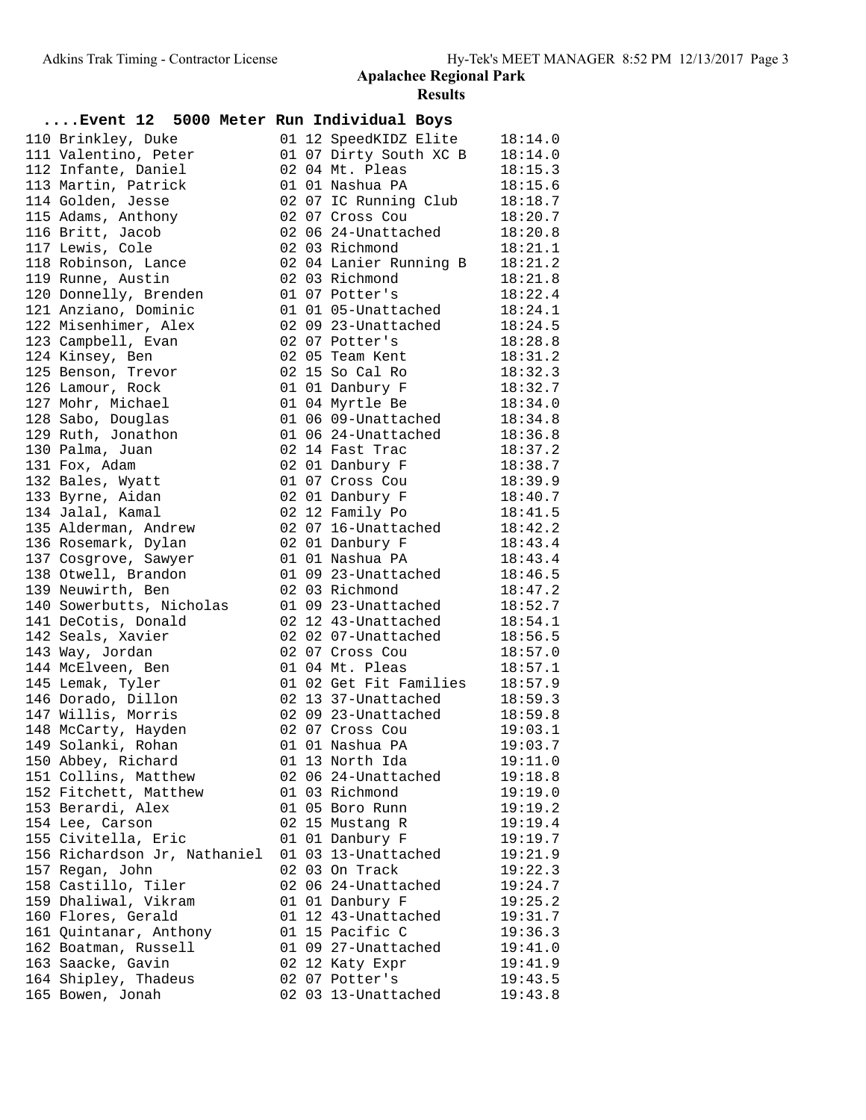| 01 12 SpeedKIDZ Elite 18:14.0<br>110 Brinkley, Duke<br>01 07 Dirty South XC B 18:14.0<br>111 Valentino, Peter<br>112 Infante, Daniel<br>02 04 Mt. Pleas<br>18:15.3<br>113 Martin, Patrick<br>01 01 Nashua PA<br>18:15.6<br>114 Golden, Jesse<br>02 07 IC Running Club<br>18:18.7<br>115 Adams, Anthony<br>02 07 Cross Cou<br>18:20.7<br>02 06 24-Unattached<br>116 Britt, Jacob<br>18:20.8<br>117 Lewis, Cole<br>02 03 Richmond<br>18:21.1<br>02 04 Lanier Running B<br>118 Robinson, Lance<br>18:21.2<br>02 03 Richmond<br>18:21.8<br>119 Runne, Austin<br>120 Donnelly, Brenden<br>01 07 Potter's<br>18:22.4<br>01 01 05-Unattached<br>121 Anziano, Dominic<br>02 09 23-Unattached 18:24.5<br>122 Misenhimer, Alex<br>18:28.8<br>123 Campbell, Evan<br>02 07 Potter's<br>02 05 Team Kent 18:31.2<br>124 Kinsey, Ben<br>125 Benson, Trevor<br>02 15 So Cal Ro 18:32.3<br>126 Lamour, Rock<br>01 01 Danbury F<br>01 04 Myrtle Be<br>127 Mohr, Michael<br>18:34.0<br>01 06 09-Unattached 18:34.8<br>128 Sabo, Douglas<br>01 06 24-Unattached 18:36.8<br>129 Ruth, Jonathon<br>130 Palma, Juan<br>02 14 Fast Trac 18:37.2<br>131 Fox, Adam<br>02 01 Danbury F 18:38.7<br>132 Bales, Wyatt<br>01 07 Cross Cou<br>02 01 Danbury F<br>18:39.9<br>18:40.7<br>133 Byrne, Aidan<br>134 Jalal, Kamal<br>02 12 Family Po<br>02 07 16-Unattached 18:42.2<br>135 Alderman, Andrew<br>136 Rosemark, Dylan<br>02 01 Danbury F 18:43.4<br>01 01 Nashua PA<br>18:43.4<br>137 Cosgrove, Sawyer<br>138 Otwell, Brandon<br>01 09 23-Unattached<br>02 03 Richmond<br>139 Neuwirth, Ben<br>18:47.2<br>01 09 23-Unattached 18:52.7<br>140 Sowerbutts, Nicholas<br>02 12 43-Unattached 18:54.1<br>141 DeCotis, Donald<br>142 Seals, Xavier<br>02 02 07-Unattached 18:56.5<br>143 Way, Jordan<br>02 07 Cross Cou 18:57.0<br>01 04 Mt. Pleas 18:57.1<br>01 02 Get Fit Families 18:57.9<br>02 13 37-Unattached 18:59.3<br>144 McElveen, Ben<br>145 Lemak, Tyler<br>146 Dorado, Dillon<br>02 09 23-Unattached 18:59.8<br>147 Willis, Morris<br>02 07 Cross Cou<br>148 McCarty, Hayden<br>19:03.1<br>01 01 Nashua PA<br>149 Solanki, Rohan<br>19:03.7<br>150 Abbey, Richard<br>01 13 North Ida<br>19:11.0<br>151 Collins, Matthew<br>02 06 24-Unattached<br>19:18.8<br>152 Fitchett, Matthew<br>01 03 Richmond<br>19:19.0<br>153 Berardi, Alex<br>01 05 Boro Runn<br>19:19.2<br>154 Lee, Carson<br>02 15 Mustang R<br>19:19.4<br>155 Civitella, Eric<br>01 01 Danbury F<br>19:19.7<br>156 Richardson Jr, Nathaniel<br>01 03 13-Unattached<br>19:21.9<br>02 03 On Track<br>157 Regan, John<br>19:22.3<br>158 Castillo, Tiler<br>02 06 24-Unattached<br>19:24.7<br>159 Dhaliwal, Vikram<br>01 01 Danbury F<br>19:25.2<br>01 12 43-Unattached<br>160 Flores, Gerald<br>19:31.7<br>161 Quintanar, Anthony<br>01 15 Pacific C<br>19:36.3<br>162 Boatman, Russell<br>01 09 27-Unattached<br>19:41.0<br>163 Saacke, Gavin<br>02 12 Katy Expr<br>19:41.9<br>164 Shipley, Thadeus<br>02 07 Potter's<br>19:43.5<br>165 Bowen, Jonah<br>02 03 13-Unattached<br>19:43.8 | Event 12 5000 Meter Run Individual Boys |  |  |
|---------------------------------------------------------------------------------------------------------------------------------------------------------------------------------------------------------------------------------------------------------------------------------------------------------------------------------------------------------------------------------------------------------------------------------------------------------------------------------------------------------------------------------------------------------------------------------------------------------------------------------------------------------------------------------------------------------------------------------------------------------------------------------------------------------------------------------------------------------------------------------------------------------------------------------------------------------------------------------------------------------------------------------------------------------------------------------------------------------------------------------------------------------------------------------------------------------------------------------------------------------------------------------------------------------------------------------------------------------------------------------------------------------------------------------------------------------------------------------------------------------------------------------------------------------------------------------------------------------------------------------------------------------------------------------------------------------------------------------------------------------------------------------------------------------------------------------------------------------------------------------------------------------------------------------------------------------------------------------------------------------------------------------------------------------------------------------------------------------------------------------------------------------------------------------------------------------------------------------------------------------------------------------------------------------------------------------------------------------------------------------------------------------------------------------------------------------------------------------------------------------------------------------------------------------------------------------------------------------------------------------------------------------------------------------------------------------------------------------------------------------------------------------------------------------------------------------------------------------------------------------------------------------------------------------------------------------------------------------------------------------------------------------|-----------------------------------------|--|--|
| 18:24.1<br>18:32.7<br>18:41.5<br>18:46.5                                                                                                                                                                                                                                                                                                                                                                                                                                                                                                                                                                                                                                                                                                                                                                                                                                                                                                                                                                                                                                                                                                                                                                                                                                                                                                                                                                                                                                                                                                                                                                                                                                                                                                                                                                                                                                                                                                                                                                                                                                                                                                                                                                                                                                                                                                                                                                                                                                                                                                                                                                                                                                                                                                                                                                                                                                                                                                                                                                                        |                                         |  |  |
|                                                                                                                                                                                                                                                                                                                                                                                                                                                                                                                                                                                                                                                                                                                                                                                                                                                                                                                                                                                                                                                                                                                                                                                                                                                                                                                                                                                                                                                                                                                                                                                                                                                                                                                                                                                                                                                                                                                                                                                                                                                                                                                                                                                                                                                                                                                                                                                                                                                                                                                                                                                                                                                                                                                                                                                                                                                                                                                                                                                                                                 |                                         |  |  |
|                                                                                                                                                                                                                                                                                                                                                                                                                                                                                                                                                                                                                                                                                                                                                                                                                                                                                                                                                                                                                                                                                                                                                                                                                                                                                                                                                                                                                                                                                                                                                                                                                                                                                                                                                                                                                                                                                                                                                                                                                                                                                                                                                                                                                                                                                                                                                                                                                                                                                                                                                                                                                                                                                                                                                                                                                                                                                                                                                                                                                                 |                                         |  |  |
|                                                                                                                                                                                                                                                                                                                                                                                                                                                                                                                                                                                                                                                                                                                                                                                                                                                                                                                                                                                                                                                                                                                                                                                                                                                                                                                                                                                                                                                                                                                                                                                                                                                                                                                                                                                                                                                                                                                                                                                                                                                                                                                                                                                                                                                                                                                                                                                                                                                                                                                                                                                                                                                                                                                                                                                                                                                                                                                                                                                                                                 |                                         |  |  |
|                                                                                                                                                                                                                                                                                                                                                                                                                                                                                                                                                                                                                                                                                                                                                                                                                                                                                                                                                                                                                                                                                                                                                                                                                                                                                                                                                                                                                                                                                                                                                                                                                                                                                                                                                                                                                                                                                                                                                                                                                                                                                                                                                                                                                                                                                                                                                                                                                                                                                                                                                                                                                                                                                                                                                                                                                                                                                                                                                                                                                                 |                                         |  |  |
|                                                                                                                                                                                                                                                                                                                                                                                                                                                                                                                                                                                                                                                                                                                                                                                                                                                                                                                                                                                                                                                                                                                                                                                                                                                                                                                                                                                                                                                                                                                                                                                                                                                                                                                                                                                                                                                                                                                                                                                                                                                                                                                                                                                                                                                                                                                                                                                                                                                                                                                                                                                                                                                                                                                                                                                                                                                                                                                                                                                                                                 |                                         |  |  |
|                                                                                                                                                                                                                                                                                                                                                                                                                                                                                                                                                                                                                                                                                                                                                                                                                                                                                                                                                                                                                                                                                                                                                                                                                                                                                                                                                                                                                                                                                                                                                                                                                                                                                                                                                                                                                                                                                                                                                                                                                                                                                                                                                                                                                                                                                                                                                                                                                                                                                                                                                                                                                                                                                                                                                                                                                                                                                                                                                                                                                                 |                                         |  |  |
|                                                                                                                                                                                                                                                                                                                                                                                                                                                                                                                                                                                                                                                                                                                                                                                                                                                                                                                                                                                                                                                                                                                                                                                                                                                                                                                                                                                                                                                                                                                                                                                                                                                                                                                                                                                                                                                                                                                                                                                                                                                                                                                                                                                                                                                                                                                                                                                                                                                                                                                                                                                                                                                                                                                                                                                                                                                                                                                                                                                                                                 |                                         |  |  |
|                                                                                                                                                                                                                                                                                                                                                                                                                                                                                                                                                                                                                                                                                                                                                                                                                                                                                                                                                                                                                                                                                                                                                                                                                                                                                                                                                                                                                                                                                                                                                                                                                                                                                                                                                                                                                                                                                                                                                                                                                                                                                                                                                                                                                                                                                                                                                                                                                                                                                                                                                                                                                                                                                                                                                                                                                                                                                                                                                                                                                                 |                                         |  |  |
|                                                                                                                                                                                                                                                                                                                                                                                                                                                                                                                                                                                                                                                                                                                                                                                                                                                                                                                                                                                                                                                                                                                                                                                                                                                                                                                                                                                                                                                                                                                                                                                                                                                                                                                                                                                                                                                                                                                                                                                                                                                                                                                                                                                                                                                                                                                                                                                                                                                                                                                                                                                                                                                                                                                                                                                                                                                                                                                                                                                                                                 |                                         |  |  |
|                                                                                                                                                                                                                                                                                                                                                                                                                                                                                                                                                                                                                                                                                                                                                                                                                                                                                                                                                                                                                                                                                                                                                                                                                                                                                                                                                                                                                                                                                                                                                                                                                                                                                                                                                                                                                                                                                                                                                                                                                                                                                                                                                                                                                                                                                                                                                                                                                                                                                                                                                                                                                                                                                                                                                                                                                                                                                                                                                                                                                                 |                                         |  |  |
|                                                                                                                                                                                                                                                                                                                                                                                                                                                                                                                                                                                                                                                                                                                                                                                                                                                                                                                                                                                                                                                                                                                                                                                                                                                                                                                                                                                                                                                                                                                                                                                                                                                                                                                                                                                                                                                                                                                                                                                                                                                                                                                                                                                                                                                                                                                                                                                                                                                                                                                                                                                                                                                                                                                                                                                                                                                                                                                                                                                                                                 |                                         |  |  |
|                                                                                                                                                                                                                                                                                                                                                                                                                                                                                                                                                                                                                                                                                                                                                                                                                                                                                                                                                                                                                                                                                                                                                                                                                                                                                                                                                                                                                                                                                                                                                                                                                                                                                                                                                                                                                                                                                                                                                                                                                                                                                                                                                                                                                                                                                                                                                                                                                                                                                                                                                                                                                                                                                                                                                                                                                                                                                                                                                                                                                                 |                                         |  |  |
|                                                                                                                                                                                                                                                                                                                                                                                                                                                                                                                                                                                                                                                                                                                                                                                                                                                                                                                                                                                                                                                                                                                                                                                                                                                                                                                                                                                                                                                                                                                                                                                                                                                                                                                                                                                                                                                                                                                                                                                                                                                                                                                                                                                                                                                                                                                                                                                                                                                                                                                                                                                                                                                                                                                                                                                                                                                                                                                                                                                                                                 |                                         |  |  |
|                                                                                                                                                                                                                                                                                                                                                                                                                                                                                                                                                                                                                                                                                                                                                                                                                                                                                                                                                                                                                                                                                                                                                                                                                                                                                                                                                                                                                                                                                                                                                                                                                                                                                                                                                                                                                                                                                                                                                                                                                                                                                                                                                                                                                                                                                                                                                                                                                                                                                                                                                                                                                                                                                                                                                                                                                                                                                                                                                                                                                                 |                                         |  |  |
|                                                                                                                                                                                                                                                                                                                                                                                                                                                                                                                                                                                                                                                                                                                                                                                                                                                                                                                                                                                                                                                                                                                                                                                                                                                                                                                                                                                                                                                                                                                                                                                                                                                                                                                                                                                                                                                                                                                                                                                                                                                                                                                                                                                                                                                                                                                                                                                                                                                                                                                                                                                                                                                                                                                                                                                                                                                                                                                                                                                                                                 |                                         |  |  |
|                                                                                                                                                                                                                                                                                                                                                                                                                                                                                                                                                                                                                                                                                                                                                                                                                                                                                                                                                                                                                                                                                                                                                                                                                                                                                                                                                                                                                                                                                                                                                                                                                                                                                                                                                                                                                                                                                                                                                                                                                                                                                                                                                                                                                                                                                                                                                                                                                                                                                                                                                                                                                                                                                                                                                                                                                                                                                                                                                                                                                                 |                                         |  |  |
|                                                                                                                                                                                                                                                                                                                                                                                                                                                                                                                                                                                                                                                                                                                                                                                                                                                                                                                                                                                                                                                                                                                                                                                                                                                                                                                                                                                                                                                                                                                                                                                                                                                                                                                                                                                                                                                                                                                                                                                                                                                                                                                                                                                                                                                                                                                                                                                                                                                                                                                                                                                                                                                                                                                                                                                                                                                                                                                                                                                                                                 |                                         |  |  |
|                                                                                                                                                                                                                                                                                                                                                                                                                                                                                                                                                                                                                                                                                                                                                                                                                                                                                                                                                                                                                                                                                                                                                                                                                                                                                                                                                                                                                                                                                                                                                                                                                                                                                                                                                                                                                                                                                                                                                                                                                                                                                                                                                                                                                                                                                                                                                                                                                                                                                                                                                                                                                                                                                                                                                                                                                                                                                                                                                                                                                                 |                                         |  |  |
|                                                                                                                                                                                                                                                                                                                                                                                                                                                                                                                                                                                                                                                                                                                                                                                                                                                                                                                                                                                                                                                                                                                                                                                                                                                                                                                                                                                                                                                                                                                                                                                                                                                                                                                                                                                                                                                                                                                                                                                                                                                                                                                                                                                                                                                                                                                                                                                                                                                                                                                                                                                                                                                                                                                                                                                                                                                                                                                                                                                                                                 |                                         |  |  |
|                                                                                                                                                                                                                                                                                                                                                                                                                                                                                                                                                                                                                                                                                                                                                                                                                                                                                                                                                                                                                                                                                                                                                                                                                                                                                                                                                                                                                                                                                                                                                                                                                                                                                                                                                                                                                                                                                                                                                                                                                                                                                                                                                                                                                                                                                                                                                                                                                                                                                                                                                                                                                                                                                                                                                                                                                                                                                                                                                                                                                                 |                                         |  |  |
|                                                                                                                                                                                                                                                                                                                                                                                                                                                                                                                                                                                                                                                                                                                                                                                                                                                                                                                                                                                                                                                                                                                                                                                                                                                                                                                                                                                                                                                                                                                                                                                                                                                                                                                                                                                                                                                                                                                                                                                                                                                                                                                                                                                                                                                                                                                                                                                                                                                                                                                                                                                                                                                                                                                                                                                                                                                                                                                                                                                                                                 |                                         |  |  |
|                                                                                                                                                                                                                                                                                                                                                                                                                                                                                                                                                                                                                                                                                                                                                                                                                                                                                                                                                                                                                                                                                                                                                                                                                                                                                                                                                                                                                                                                                                                                                                                                                                                                                                                                                                                                                                                                                                                                                                                                                                                                                                                                                                                                                                                                                                                                                                                                                                                                                                                                                                                                                                                                                                                                                                                                                                                                                                                                                                                                                                 |                                         |  |  |
|                                                                                                                                                                                                                                                                                                                                                                                                                                                                                                                                                                                                                                                                                                                                                                                                                                                                                                                                                                                                                                                                                                                                                                                                                                                                                                                                                                                                                                                                                                                                                                                                                                                                                                                                                                                                                                                                                                                                                                                                                                                                                                                                                                                                                                                                                                                                                                                                                                                                                                                                                                                                                                                                                                                                                                                                                                                                                                                                                                                                                                 |                                         |  |  |
|                                                                                                                                                                                                                                                                                                                                                                                                                                                                                                                                                                                                                                                                                                                                                                                                                                                                                                                                                                                                                                                                                                                                                                                                                                                                                                                                                                                                                                                                                                                                                                                                                                                                                                                                                                                                                                                                                                                                                                                                                                                                                                                                                                                                                                                                                                                                                                                                                                                                                                                                                                                                                                                                                                                                                                                                                                                                                                                                                                                                                                 |                                         |  |  |
|                                                                                                                                                                                                                                                                                                                                                                                                                                                                                                                                                                                                                                                                                                                                                                                                                                                                                                                                                                                                                                                                                                                                                                                                                                                                                                                                                                                                                                                                                                                                                                                                                                                                                                                                                                                                                                                                                                                                                                                                                                                                                                                                                                                                                                                                                                                                                                                                                                                                                                                                                                                                                                                                                                                                                                                                                                                                                                                                                                                                                                 |                                         |  |  |
|                                                                                                                                                                                                                                                                                                                                                                                                                                                                                                                                                                                                                                                                                                                                                                                                                                                                                                                                                                                                                                                                                                                                                                                                                                                                                                                                                                                                                                                                                                                                                                                                                                                                                                                                                                                                                                                                                                                                                                                                                                                                                                                                                                                                                                                                                                                                                                                                                                                                                                                                                                                                                                                                                                                                                                                                                                                                                                                                                                                                                                 |                                         |  |  |
|                                                                                                                                                                                                                                                                                                                                                                                                                                                                                                                                                                                                                                                                                                                                                                                                                                                                                                                                                                                                                                                                                                                                                                                                                                                                                                                                                                                                                                                                                                                                                                                                                                                                                                                                                                                                                                                                                                                                                                                                                                                                                                                                                                                                                                                                                                                                                                                                                                                                                                                                                                                                                                                                                                                                                                                                                                                                                                                                                                                                                                 |                                         |  |  |
|                                                                                                                                                                                                                                                                                                                                                                                                                                                                                                                                                                                                                                                                                                                                                                                                                                                                                                                                                                                                                                                                                                                                                                                                                                                                                                                                                                                                                                                                                                                                                                                                                                                                                                                                                                                                                                                                                                                                                                                                                                                                                                                                                                                                                                                                                                                                                                                                                                                                                                                                                                                                                                                                                                                                                                                                                                                                                                                                                                                                                                 |                                         |  |  |
|                                                                                                                                                                                                                                                                                                                                                                                                                                                                                                                                                                                                                                                                                                                                                                                                                                                                                                                                                                                                                                                                                                                                                                                                                                                                                                                                                                                                                                                                                                                                                                                                                                                                                                                                                                                                                                                                                                                                                                                                                                                                                                                                                                                                                                                                                                                                                                                                                                                                                                                                                                                                                                                                                                                                                                                                                                                                                                                                                                                                                                 |                                         |  |  |
|                                                                                                                                                                                                                                                                                                                                                                                                                                                                                                                                                                                                                                                                                                                                                                                                                                                                                                                                                                                                                                                                                                                                                                                                                                                                                                                                                                                                                                                                                                                                                                                                                                                                                                                                                                                                                                                                                                                                                                                                                                                                                                                                                                                                                                                                                                                                                                                                                                                                                                                                                                                                                                                                                                                                                                                                                                                                                                                                                                                                                                 |                                         |  |  |
|                                                                                                                                                                                                                                                                                                                                                                                                                                                                                                                                                                                                                                                                                                                                                                                                                                                                                                                                                                                                                                                                                                                                                                                                                                                                                                                                                                                                                                                                                                                                                                                                                                                                                                                                                                                                                                                                                                                                                                                                                                                                                                                                                                                                                                                                                                                                                                                                                                                                                                                                                                                                                                                                                                                                                                                                                                                                                                                                                                                                                                 |                                         |  |  |
|                                                                                                                                                                                                                                                                                                                                                                                                                                                                                                                                                                                                                                                                                                                                                                                                                                                                                                                                                                                                                                                                                                                                                                                                                                                                                                                                                                                                                                                                                                                                                                                                                                                                                                                                                                                                                                                                                                                                                                                                                                                                                                                                                                                                                                                                                                                                                                                                                                                                                                                                                                                                                                                                                                                                                                                                                                                                                                                                                                                                                                 |                                         |  |  |
|                                                                                                                                                                                                                                                                                                                                                                                                                                                                                                                                                                                                                                                                                                                                                                                                                                                                                                                                                                                                                                                                                                                                                                                                                                                                                                                                                                                                                                                                                                                                                                                                                                                                                                                                                                                                                                                                                                                                                                                                                                                                                                                                                                                                                                                                                                                                                                                                                                                                                                                                                                                                                                                                                                                                                                                                                                                                                                                                                                                                                                 |                                         |  |  |
|                                                                                                                                                                                                                                                                                                                                                                                                                                                                                                                                                                                                                                                                                                                                                                                                                                                                                                                                                                                                                                                                                                                                                                                                                                                                                                                                                                                                                                                                                                                                                                                                                                                                                                                                                                                                                                                                                                                                                                                                                                                                                                                                                                                                                                                                                                                                                                                                                                                                                                                                                                                                                                                                                                                                                                                                                                                                                                                                                                                                                                 |                                         |  |  |
|                                                                                                                                                                                                                                                                                                                                                                                                                                                                                                                                                                                                                                                                                                                                                                                                                                                                                                                                                                                                                                                                                                                                                                                                                                                                                                                                                                                                                                                                                                                                                                                                                                                                                                                                                                                                                                                                                                                                                                                                                                                                                                                                                                                                                                                                                                                                                                                                                                                                                                                                                                                                                                                                                                                                                                                                                                                                                                                                                                                                                                 |                                         |  |  |
|                                                                                                                                                                                                                                                                                                                                                                                                                                                                                                                                                                                                                                                                                                                                                                                                                                                                                                                                                                                                                                                                                                                                                                                                                                                                                                                                                                                                                                                                                                                                                                                                                                                                                                                                                                                                                                                                                                                                                                                                                                                                                                                                                                                                                                                                                                                                                                                                                                                                                                                                                                                                                                                                                                                                                                                                                                                                                                                                                                                                                                 |                                         |  |  |
|                                                                                                                                                                                                                                                                                                                                                                                                                                                                                                                                                                                                                                                                                                                                                                                                                                                                                                                                                                                                                                                                                                                                                                                                                                                                                                                                                                                                                                                                                                                                                                                                                                                                                                                                                                                                                                                                                                                                                                                                                                                                                                                                                                                                                                                                                                                                                                                                                                                                                                                                                                                                                                                                                                                                                                                                                                                                                                                                                                                                                                 |                                         |  |  |
|                                                                                                                                                                                                                                                                                                                                                                                                                                                                                                                                                                                                                                                                                                                                                                                                                                                                                                                                                                                                                                                                                                                                                                                                                                                                                                                                                                                                                                                                                                                                                                                                                                                                                                                                                                                                                                                                                                                                                                                                                                                                                                                                                                                                                                                                                                                                                                                                                                                                                                                                                                                                                                                                                                                                                                                                                                                                                                                                                                                                                                 |                                         |  |  |
|                                                                                                                                                                                                                                                                                                                                                                                                                                                                                                                                                                                                                                                                                                                                                                                                                                                                                                                                                                                                                                                                                                                                                                                                                                                                                                                                                                                                                                                                                                                                                                                                                                                                                                                                                                                                                                                                                                                                                                                                                                                                                                                                                                                                                                                                                                                                                                                                                                                                                                                                                                                                                                                                                                                                                                                                                                                                                                                                                                                                                                 |                                         |  |  |
|                                                                                                                                                                                                                                                                                                                                                                                                                                                                                                                                                                                                                                                                                                                                                                                                                                                                                                                                                                                                                                                                                                                                                                                                                                                                                                                                                                                                                                                                                                                                                                                                                                                                                                                                                                                                                                                                                                                                                                                                                                                                                                                                                                                                                                                                                                                                                                                                                                                                                                                                                                                                                                                                                                                                                                                                                                                                                                                                                                                                                                 |                                         |  |  |
|                                                                                                                                                                                                                                                                                                                                                                                                                                                                                                                                                                                                                                                                                                                                                                                                                                                                                                                                                                                                                                                                                                                                                                                                                                                                                                                                                                                                                                                                                                                                                                                                                                                                                                                                                                                                                                                                                                                                                                                                                                                                                                                                                                                                                                                                                                                                                                                                                                                                                                                                                                                                                                                                                                                                                                                                                                                                                                                                                                                                                                 |                                         |  |  |
|                                                                                                                                                                                                                                                                                                                                                                                                                                                                                                                                                                                                                                                                                                                                                                                                                                                                                                                                                                                                                                                                                                                                                                                                                                                                                                                                                                                                                                                                                                                                                                                                                                                                                                                                                                                                                                                                                                                                                                                                                                                                                                                                                                                                                                                                                                                                                                                                                                                                                                                                                                                                                                                                                                                                                                                                                                                                                                                                                                                                                                 |                                         |  |  |
|                                                                                                                                                                                                                                                                                                                                                                                                                                                                                                                                                                                                                                                                                                                                                                                                                                                                                                                                                                                                                                                                                                                                                                                                                                                                                                                                                                                                                                                                                                                                                                                                                                                                                                                                                                                                                                                                                                                                                                                                                                                                                                                                                                                                                                                                                                                                                                                                                                                                                                                                                                                                                                                                                                                                                                                                                                                                                                                                                                                                                                 |                                         |  |  |
|                                                                                                                                                                                                                                                                                                                                                                                                                                                                                                                                                                                                                                                                                                                                                                                                                                                                                                                                                                                                                                                                                                                                                                                                                                                                                                                                                                                                                                                                                                                                                                                                                                                                                                                                                                                                                                                                                                                                                                                                                                                                                                                                                                                                                                                                                                                                                                                                                                                                                                                                                                                                                                                                                                                                                                                                                                                                                                                                                                                                                                 |                                         |  |  |
|                                                                                                                                                                                                                                                                                                                                                                                                                                                                                                                                                                                                                                                                                                                                                                                                                                                                                                                                                                                                                                                                                                                                                                                                                                                                                                                                                                                                                                                                                                                                                                                                                                                                                                                                                                                                                                                                                                                                                                                                                                                                                                                                                                                                                                                                                                                                                                                                                                                                                                                                                                                                                                                                                                                                                                                                                                                                                                                                                                                                                                 |                                         |  |  |
|                                                                                                                                                                                                                                                                                                                                                                                                                                                                                                                                                                                                                                                                                                                                                                                                                                                                                                                                                                                                                                                                                                                                                                                                                                                                                                                                                                                                                                                                                                                                                                                                                                                                                                                                                                                                                                                                                                                                                                                                                                                                                                                                                                                                                                                                                                                                                                                                                                                                                                                                                                                                                                                                                                                                                                                                                                                                                                                                                                                                                                 |                                         |  |  |
|                                                                                                                                                                                                                                                                                                                                                                                                                                                                                                                                                                                                                                                                                                                                                                                                                                                                                                                                                                                                                                                                                                                                                                                                                                                                                                                                                                                                                                                                                                                                                                                                                                                                                                                                                                                                                                                                                                                                                                                                                                                                                                                                                                                                                                                                                                                                                                                                                                                                                                                                                                                                                                                                                                                                                                                                                                                                                                                                                                                                                                 |                                         |  |  |
|                                                                                                                                                                                                                                                                                                                                                                                                                                                                                                                                                                                                                                                                                                                                                                                                                                                                                                                                                                                                                                                                                                                                                                                                                                                                                                                                                                                                                                                                                                                                                                                                                                                                                                                                                                                                                                                                                                                                                                                                                                                                                                                                                                                                                                                                                                                                                                                                                                                                                                                                                                                                                                                                                                                                                                                                                                                                                                                                                                                                                                 |                                         |  |  |
|                                                                                                                                                                                                                                                                                                                                                                                                                                                                                                                                                                                                                                                                                                                                                                                                                                                                                                                                                                                                                                                                                                                                                                                                                                                                                                                                                                                                                                                                                                                                                                                                                                                                                                                                                                                                                                                                                                                                                                                                                                                                                                                                                                                                                                                                                                                                                                                                                                                                                                                                                                                                                                                                                                                                                                                                                                                                                                                                                                                                                                 |                                         |  |  |
|                                                                                                                                                                                                                                                                                                                                                                                                                                                                                                                                                                                                                                                                                                                                                                                                                                                                                                                                                                                                                                                                                                                                                                                                                                                                                                                                                                                                                                                                                                                                                                                                                                                                                                                                                                                                                                                                                                                                                                                                                                                                                                                                                                                                                                                                                                                                                                                                                                                                                                                                                                                                                                                                                                                                                                                                                                                                                                                                                                                                                                 |                                         |  |  |
|                                                                                                                                                                                                                                                                                                                                                                                                                                                                                                                                                                                                                                                                                                                                                                                                                                                                                                                                                                                                                                                                                                                                                                                                                                                                                                                                                                                                                                                                                                                                                                                                                                                                                                                                                                                                                                                                                                                                                                                                                                                                                                                                                                                                                                                                                                                                                                                                                                                                                                                                                                                                                                                                                                                                                                                                                                                                                                                                                                                                                                 |                                         |  |  |
|                                                                                                                                                                                                                                                                                                                                                                                                                                                                                                                                                                                                                                                                                                                                                                                                                                                                                                                                                                                                                                                                                                                                                                                                                                                                                                                                                                                                                                                                                                                                                                                                                                                                                                                                                                                                                                                                                                                                                                                                                                                                                                                                                                                                                                                                                                                                                                                                                                                                                                                                                                                                                                                                                                                                                                                                                                                                                                                                                                                                                                 |                                         |  |  |
|                                                                                                                                                                                                                                                                                                                                                                                                                                                                                                                                                                                                                                                                                                                                                                                                                                                                                                                                                                                                                                                                                                                                                                                                                                                                                                                                                                                                                                                                                                                                                                                                                                                                                                                                                                                                                                                                                                                                                                                                                                                                                                                                                                                                                                                                                                                                                                                                                                                                                                                                                                                                                                                                                                                                                                                                                                                                                                                                                                                                                                 |                                         |  |  |
|                                                                                                                                                                                                                                                                                                                                                                                                                                                                                                                                                                                                                                                                                                                                                                                                                                                                                                                                                                                                                                                                                                                                                                                                                                                                                                                                                                                                                                                                                                                                                                                                                                                                                                                                                                                                                                                                                                                                                                                                                                                                                                                                                                                                                                                                                                                                                                                                                                                                                                                                                                                                                                                                                                                                                                                                                                                                                                                                                                                                                                 |                                         |  |  |
|                                                                                                                                                                                                                                                                                                                                                                                                                                                                                                                                                                                                                                                                                                                                                                                                                                                                                                                                                                                                                                                                                                                                                                                                                                                                                                                                                                                                                                                                                                                                                                                                                                                                                                                                                                                                                                                                                                                                                                                                                                                                                                                                                                                                                                                                                                                                                                                                                                                                                                                                                                                                                                                                                                                                                                                                                                                                                                                                                                                                                                 |                                         |  |  |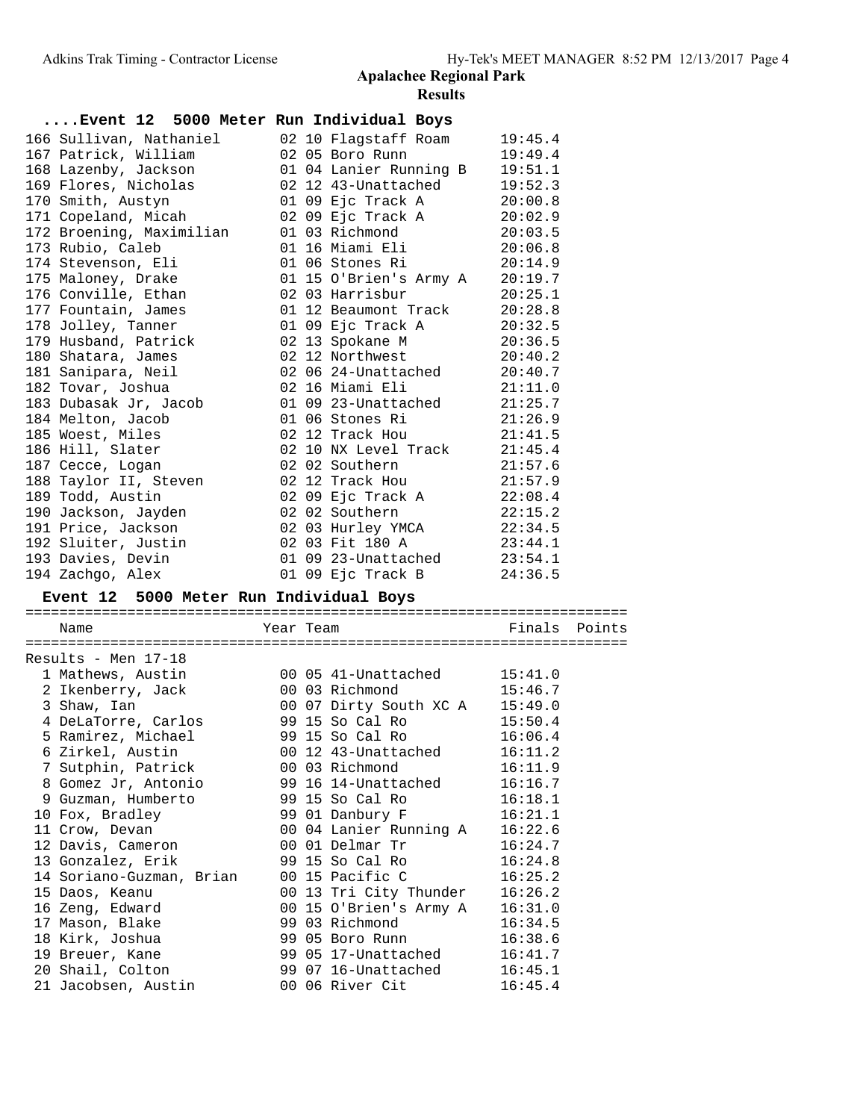| Event 12 5000 Meter Run Individual Boys      |           |                                |         |               |
|----------------------------------------------|-----------|--------------------------------|---------|---------------|
| 166 Sullivan, Nathaniel 02 10 Flagstaff Roam |           |                                | 19:45.4 |               |
| 167 Patrick, William                         |           | 02 05 Boro Runn                | 19:49.4 |               |
| 168 Lazenby, Jackson                         |           | 01 04 Lanier Running B         | 19:51.1 |               |
| 169 Flores, Nicholas                         |           | 02 12 43-Unattached            | 19:52.3 |               |
| 170 Smith, Austyn                            |           | 01 09 Ejc Track A              | 20:00.8 |               |
| 171 Copeland, Micah                          |           | 02 09 Ejc Track A              | 20:02.9 |               |
| 172 Broening, Maximilian                     |           | 01 03 Richmond                 | 20:03.5 |               |
| 173 Rubio, Caleb                             |           | 01 16 Miami Eli                | 20:06.8 |               |
| 174 Stevenson, Eli                           |           | 01 06 Stones Ri                | 20:14.9 |               |
| 175 Maloney, Drake                           |           | 01 15 O'Brien's Army A         | 20:19.7 |               |
| 176 Conville, Ethan                          |           | 02 03 Harrisbur                | 20:25.1 |               |
| 177 Fountain, James                          |           | 01 12 Beaumont Track           | 20:28.8 |               |
| 178 Jolley, Tanner                           |           | 01 09 Ejc Track A              | 20:32.5 |               |
| 179 Husband, Patrick                         |           | 02 13 Spokane M                | 20:36.5 |               |
| 180 Shatara, James                           |           | 02 12 Northwest                | 20:40.2 |               |
| 181 Sanipara, Neil                           |           | 02 06 24-Unattached            | 20:40.7 |               |
| 182 Tovar, Joshua                            |           | 02 16 Miami Eli                | 21:11.0 |               |
| 183 Dubasak Jr, Jacob                        |           | 01 09 23-Unattached            | 21:25.7 |               |
|                                              |           | 01 06 Stones Ri                |         |               |
| 184 Melton, Jacob                            |           |                                | 21:26.9 |               |
| 185 Woest, Miles                             |           | 02 12 Track Hou                | 21:41.5 |               |
| 186 Hill, Slater                             |           | 02 10 NX Level Track           | 21:45.4 |               |
| 187 Cecce, Logan                             |           | 02 02 Southern                 | 21:57.6 |               |
| 188 Taylor II, Steven                        |           | 02 12 Track Hou                | 21:57.9 |               |
| 189 Todd, Austin                             |           | $02$ 09 Ejc Track A            | 22:08.4 |               |
| 190 Jackson, Jayden                          |           | 02 02 Southern                 | 22:15.2 |               |
| 191 Price, Jackson                           |           | 02 03 Hurley YMCA              | 22:34.5 |               |
| 192 Sluiter, Justin                          |           | 02 03 Fit 180 A                | 23:44.1 |               |
| 193 Davies, Devin                            |           | 01 09 23-Unattached 23:54.1    |         |               |
| 194 Zachgo, Alex                             |           | 01 09 Ejc Track B              | 24:36.5 |               |
| Event 12 5000 Meter Run Individual Boys      |           |                                |         |               |
|                                              | Year Team |                                |         | Finals Points |
| Name                                         |           |                                |         |               |
| Results - Men 17-18                          |           |                                |         |               |
| 1 Mathews, Austin<br>2 Ikenberry, Jack       |           | 00 05 41-Unattached 15:41.0    |         |               |
|                                              |           | 00 03 Richmond                 | 15:46.7 |               |
| 3 Shaw, Ian                                  |           | 00 07 Dirty South XC A 15:49.0 |         |               |
| 4 DeLaTorre, Carlos                          |           | 99 15 So Cal Ro                | 15:50.4 |               |
| 5 Ramirez, Michael                           |           | 99 15 So Cal Ro                | 16:06.4 |               |
| 6 Zirkel, Austin                             |           | 00 12 43-Unattached            | 16:11.2 |               |
| 7 Sutphin, Patrick                           |           | 00 03 Richmond                 | 16:11.9 |               |
| 8 Gomez Jr, Antonio                          |           |                                |         |               |
|                                              |           | 99 16 14-Unattached            | 16:16.7 |               |
| 9 Guzman, Humberto                           |           | 99 15 So Cal Ro                | 16:18.1 |               |
| 10 Fox, Bradley                              |           | 99 01 Danbury F                | 16:21.1 |               |
| 11 Crow, Devan                               |           | 00 04 Lanier Running A         | 16:22.6 |               |
| 12 Davis, Cameron                            |           | 00 01 Delmar Tr                | 16:24.7 |               |
| 13 Gonzalez, Erik                            |           | 99 15 So Cal Ro                | 16:24.8 |               |
| 14 Soriano-Guzman, Brian                     |           | 00 15 Pacific C                | 16:25.2 |               |
| 15 Daos, Keanu                               |           | 00 13 Tri City Thunder         | 16:26.2 |               |
| 16 Zeng, Edward                              |           | 00 15 O'Brien's Army A         | 16:31.0 |               |
| 17 Mason, Blake                              |           | 99 03 Richmond                 | 16:34.5 |               |
| 18 Kirk, Joshua                              |           | 99 05 Boro Runn                | 16:38.6 |               |

 19 Breuer, Kane 99 05 17-Unattached 16:41.7 20 Shail, Colton 99 07 16-Unattached 16:45.1 21 Jacobsen, Austin 00 06 River Cit 16:45.4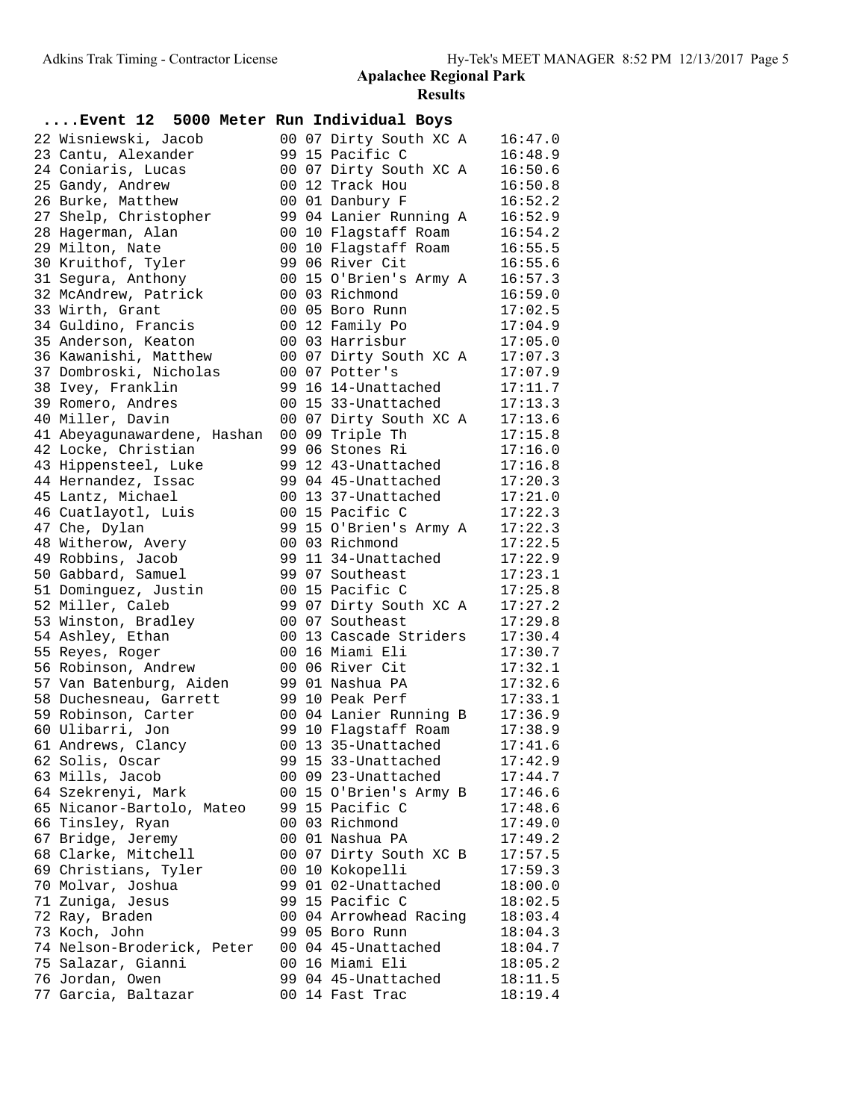| Event 12 5000 Meter Run Individual Boys |  |                                          |                    |
|-----------------------------------------|--|------------------------------------------|--------------------|
| 22 Wisniewski, Jacob                    |  | 00 07 Dirty South XC A                   | 16:47.0            |
| 23 Cantu, Alexander                     |  | 99 15 Pacific C                          | 16:48.9            |
| 24 Coniaris, Lucas                      |  | 00 07 Dirty South XC A                   | 16:50.6            |
| 25 Gandy, Andrew                        |  | 00 12 Track Hou                          | 16:50.8            |
| 26 Burke, Matthew                       |  | 00 01 Danbury F                          | 16:52.2            |
| 27 Shelp, Christopher                   |  | 99 04 Lanier Running A                   | 16:52.9            |
| 28 Hagerman, Alan                       |  | 00 10 Flagstaff Roam                     | 16:54.2            |
| 29 Milton, Nate                         |  | 00 10 Flagstaff Roam                     | 16:55.5            |
| 30 Kruithof, Tyler                      |  | 99 06 River Cit                          | 16:55.6            |
| 31 Segura, Anthony                      |  | 00 15 O'Brien's Army A                   | 16:57.3            |
| 32 McAndrew, Patrick                    |  | 00 03 Richmond                           | 16:59.0            |
| 33 Wirth, Grant                         |  | 00 05 Boro Runn                          | 17:02.5            |
| 34 Guldino, Francis                     |  | 00 12 Family Po                          | 17:04.9            |
| 35 Anderson, Keaton                     |  | 00 03 Harrisbur                          | 17:05.0            |
| 36 Kawanishi, Matthew                   |  | 00 07 Dirty South XC A                   | 17:07.3            |
| 37 Dombroski, Nicholas                  |  | 00 07 Potter's                           | 17:07.9            |
| 38 Ivey, Franklin                       |  | 99 16 14-Unattached                      | 17:11.7            |
| 39 Romero, Andres                       |  | 00 15 33-Unattached                      | 17:13.3            |
| 40 Miller, Davin                        |  | 00 07 Dirty South XC A                   | 17:13.6            |
| 41 Abeyagunawardene, Hashan             |  | 00 09 Triple Th                          | 17:15.8            |
| 42 Locke, Christian                     |  | 99 06 Stones Ri                          | 17:16.0            |
| 43 Hippensteel, Luke                    |  | 99 12 43-Unattached                      | 17:16.8            |
| 44 Hernandez, Issac                     |  | 99 04 45-Unattached                      | 17:20.3            |
| 45 Lantz, Michael                       |  | 00 13 37-Unattached                      | 17:21.0            |
| 46 Cuatlayotl, Luis                     |  | 00 15 Pacific C                          | 17:22.3            |
| 47 Che, Dylan                           |  | 99 15 O'Brien's Army A<br>00 03 Richmond | 17:22.3<br>17:22.5 |
| 48 Witherow, Avery<br>49 Robbins, Jacob |  | 99 11 34-Unattached                      | 17:22.9            |
| 50 Gabbard, Samuel                      |  | 99 07 Southeast                          | 17:23.1            |
| 51 Dominguez, Justin                    |  | 00 15 Pacific C                          | 17:25.8            |
| 52 Miller, Caleb                        |  | 99 07 Dirty South XC A                   | 17:27.2            |
| 53 Winston, Bradley                     |  | 00 07 Southeast                          | 17:29.8            |
| 54 Ashley, Ethan                        |  | 00 13 Cascade Striders                   | 17:30.4            |
| 55 Reyes, Roger                         |  | 00 16 Miami Eli                          | 17:30.7            |
| 56 Robinson, Andrew                     |  | 00 06 River Cit                          | 17:32.1            |
| 57 Van Batenburg, Aiden                 |  | 99 Ol Nashua PA                          | 17:32.6            |
| 58 Duchesneau, Garrett                  |  | 99 10 Peak Perf                          | 17:33.1            |
| 59 Robinson, Carter                     |  | 00 04 Lanier Running B                   | 17:36.9            |
| 60 Ulibarri, Jon                        |  | 99 10 Flagstaff Roam                     | 17:38.9            |
| 61 Andrews, Clancy                      |  | 00 13 35-Unattached                      | 17:41.6            |
| 62 Solis, Oscar                         |  | 99 15 33-Unattached                      | 17:42.9            |
| 63 Mills, Jacob                         |  | 00 09 23-Unattached                      | 17:44.7            |
| 64 Szekrenyi, Mark                      |  | 00 15 O'Brien's Army B                   | 17:46.6            |
| 65 Nicanor-Bartolo, Mateo               |  | 99 15 Pacific C                          | 17:48.6            |
| 66 Tinsley, Ryan                        |  | 00 03 Richmond                           | 17:49.0            |
| 67 Bridge, Jeremy                       |  | 00 01 Nashua PA                          | 17:49.2            |
| 68 Clarke, Mitchell                     |  | 00 07 Dirty South XC B                   | 17:57.5            |
| 69 Christians, Tyler                    |  | 00 10 Kokopelli                          | 17:59.3            |
| 70 Molvar, Joshua                       |  | 99 01 02-Unattached                      | 18:00.0            |
| 71 Zuniga, Jesus                        |  | 99 15 Pacific C                          | 18:02.5            |
| 72 Ray, Braden                          |  | 00 04 Arrowhead Racing                   | 18:03.4            |
| 73 Koch, John                           |  | 99 05 Boro Runn                          | 18:04.3            |
| 74 Nelson-Broderick, Peter              |  | 00 04 45-Unattached                      | 18:04.7            |
| 75 Salazar, Gianni                      |  | 00 16 Miami Eli                          | 18:05.2            |
| 76 Jordan, Owen                         |  | 99 04 45-Unattached                      | 18:11.5            |
| 77 Garcia, Baltazar                     |  | 00 14 Fast Trac                          | 18:19.4            |